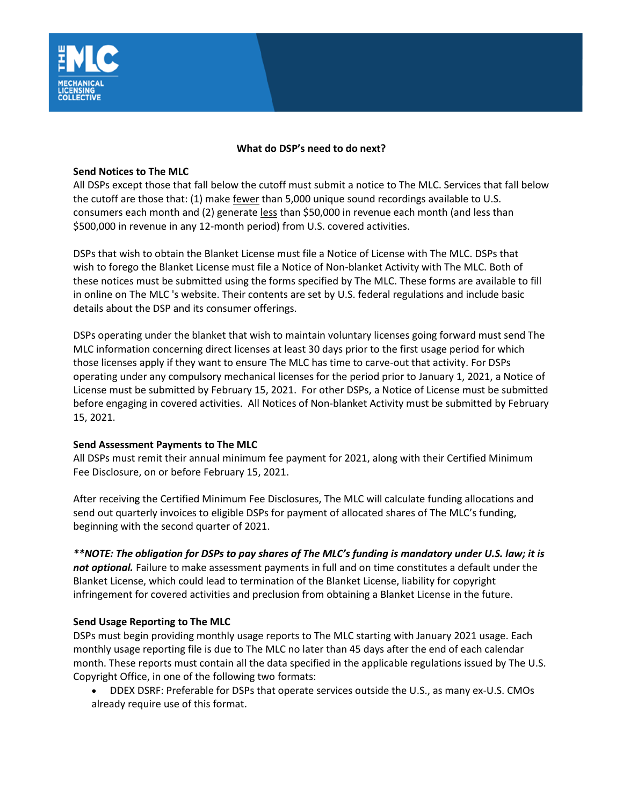

## **What do DSP's need to do next?**

## **Send Notices to The MLC**

All DSPs except those that fall below the cutoff must submit a notice to The MLC. Services that fall below the cutoff are those that:  $(1)$  make  $f_{\text{ewer}}$  than 5,000 unique sound recordings available to U.S. consumers each month and (2) generate less than \$50,000 in revenue each month (and less than \$500,000 in revenue in any 12-month period) from U.S. covered activities.

DSPs that wish to obtain the Blanket License must file a Notice of License with The MLC. DSPs that wish to forego the Blanket License must file a Notice of Non-blanket Activity with The MLC. Both of these notices must be submitted using the forms specified by The MLC. These forms are available to fill in online on The MLC 's website. Their contents are set by U.S. federal regulations and include basic details about the DSP and its consumer offerings.

DSPs operating under the blanket that wish to maintain voluntary licenses going forward must send The MLC information concerning direct licenses at least 30 days prior to the first usage period for which those licenses apply if they want to ensure The MLC has time to carve-out that activity. For DSPs operating under any compulsory mechanical licenses for the period prior to January 1, 2021, a Notice of License must be submitted by February 15, 2021. For other DSPs, a Notice of License must be submitted before engaging in covered activities. All Notices of Non-blanket Activity must be submitted by February 15, 2021.

## **Send Assessment Payments to The MLC**

All DSPs must remit their annual minimum fee payment for 2021, along with their Certified Minimum Fee Disclosure, on or before February 15, 2021.

After receiving the Certified Minimum Fee Disclosures, The MLC will calculate funding allocations and send out quarterly invoices to eligible DSPs for payment of allocated shares of The MLC's funding, beginning with the second quarter of 2021.

*\*\*NOTE: The obligation for DSPs to pay shares of The MLC's funding is mandatory under U.S. law; it is not optional.* Failure to make assessment payments in full and on time constitutes a default under the Blanket License, which could lead to termination of the Blanket License, liability for copyright infringement for covered activities and preclusion from obtaining a Blanket License in the future.

## **Send Usage Reporting to The MLC**

DSPs must begin providing monthly usage reports to The MLC starting with January 2021 usage. Each monthly usage reporting file is due to The MLC no later than 45 days after the end of each calendar month. These reports must contain all the data specified in the applicable regulations issued by The U.S. Copyright Office, in one of the following two formats:

• DDEX DSRF: Preferable for DSPs that operate services outside the U.S., as many ex-U.S. CMOs already require use of this format.